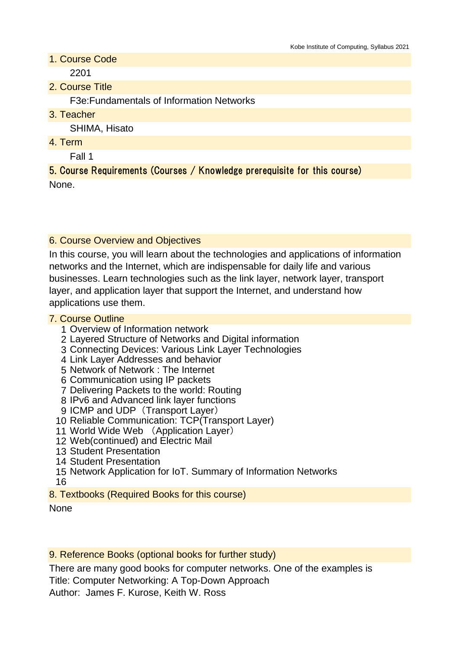1. Course Code

2201

2. Course Title

F3e:Fundamentals of Information Networks

3. Teacher

SHIMA, Hisato

4. Term

Fall 1

5. Course Requirements (Courses / Knowledge prerequisite for this course) None.

## 6. Course Overview and Objectives

In this course, you will learn about the technologies and applications of information networks and the Internet, which are indispensable for daily life and various businesses. Learn technologies such as the link layer, network layer, transport layer, and application layer that support the Internet, and understand how applications use them.

#### 7. Course Outline

- 1 Overview of Information network
- 2 Layered Structure of Networks and Digital information
- 3 Connecting Devices: Various Link Layer Technologies
- 4 Link Layer Addresses and behavior
- 5 Network of Network : The Internet
- 6 Communication using IP packets
- 7 Delivering Packets to the world: Routing
- 8 IPv6 and Advanced link layer functions
- 9 ICMP and UDP (Transport Layer)
- 10 Reliable Communication: TCP(Transport Layer)
- 11 World Wide Web (Application Layer)
- 12 Web(continued) and Electric Mail
- 13 Student Presentation
- 14 Student Presentation
- 15 Network Application for IoT. Summary of Information Networks
- 16
- 8. Textbooks (Required Books for this course)

#### None

9. Reference Books (optional books for further study)

There are many good books for computer networks. One of the examples is Title: Computer Networking: A Top-Down Approach Author: James F. Kurose, Keith W. Ross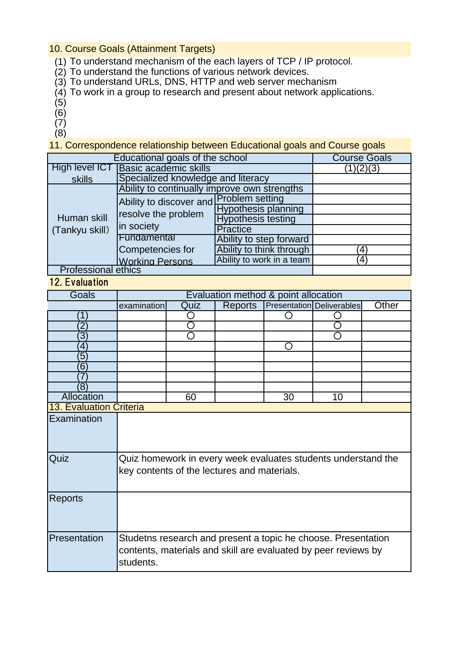## 10. Course Goals (Attainment Targets)

- (1) To understand mechanism of the each layers of TCP / IP protocol.
- (2) To understand the functions of various network devices.
- (3) To understand URLs, DNS, HTTP and web server mechanism
- (4) To work in a group to research and present about network applications.
- (5)
- (6)
- (7)
- (8)

11. Correspondence relationship between Educational goals and Course goals

| Educational goals of the school |                                                                              |                            | <b>Course Goals</b> |
|---------------------------------|------------------------------------------------------------------------------|----------------------------|---------------------|
| High level ICT                  | <b>Basic academic skills</b>                                                 |                            | (1)(2)(3)           |
| skills                          | Specialized knowledge and literacy                                           |                            |                     |
|                                 | Ability to continually improve own strengths                                 |                            |                     |
| Human skill<br>(Tankyu skill)   | Ability to discover and Problem setting<br>resolve the problem<br>in society |                            |                     |
|                                 |                                                                              | <b>Hypothesis planning</b> |                     |
|                                 |                                                                              | <b>Hypothesis testing</b>  |                     |
|                                 |                                                                              | Practice                   |                     |
|                                 | Fundamental                                                                  | Ability to step forward    |                     |
|                                 | Competencies for                                                             | Ability to think through   | 4                   |
|                                 | <b>Working Persons</b>                                                       | Ability to work in a team  | $\overline{4}$      |
| <b>Professional ethics</b>      |                                                                              |                            |                     |

# 12. Evaluation

| Goals                          | Evaluation method & point allocation                                                                                                         |      |                |    |                           |       |
|--------------------------------|----------------------------------------------------------------------------------------------------------------------------------------------|------|----------------|----|---------------------------|-------|
|                                | examination                                                                                                                                  | Quiz | <b>Reports</b> |    | Presentation Deliverables | Other |
| Ί                              |                                                                                                                                              |      |                |    |                           |       |
| $\overline{2}$                 |                                                                                                                                              |      |                |    |                           |       |
| $\overline{3}$                 |                                                                                                                                              |      |                |    |                           |       |
| 4                              |                                                                                                                                              |      |                |    |                           |       |
| 5                              |                                                                                                                                              |      |                |    |                           |       |
| 6                              |                                                                                                                                              |      |                |    |                           |       |
|                                |                                                                                                                                              |      |                |    |                           |       |
| 8)                             |                                                                                                                                              |      |                |    |                           |       |
| Allocation                     |                                                                                                                                              | 60   |                | 30 | 10                        |       |
| <b>13. Evaluation Criteria</b> |                                                                                                                                              |      |                |    |                           |       |
| Examination                    |                                                                                                                                              |      |                |    |                           |       |
| Quiz                           | Quiz homework in every week evaluates students understand the<br>key contents of the lectures and materials.                                 |      |                |    |                           |       |
| <b>Reports</b>                 |                                                                                                                                              |      |                |    |                           |       |
| Presentation                   | Studetns research and present a topic he choose. Presentation<br>contents, materials and skill are evaluated by peer reviews by<br>students. |      |                |    |                           |       |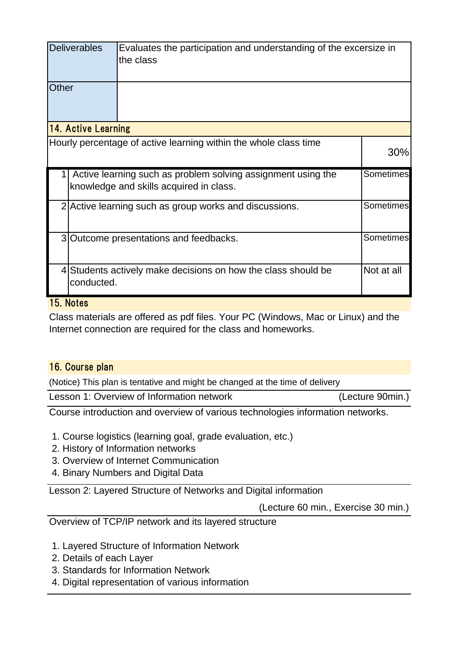|       | <b>Deliverables</b> | Evaluates the participation and understanding of the excersize in<br>the class                          |                  |
|-------|---------------------|---------------------------------------------------------------------------------------------------------|------------------|
| Other |                     |                                                                                                         |                  |
|       | 14. Active Learning |                                                                                                         |                  |
|       |                     | Hourly percentage of active learning within the whole class time                                        | 30%              |
|       |                     | Active learning such as problem solving assignment using the<br>knowledge and skills acquired in class. | <b>Sometimes</b> |
|       |                     | 2 Active learning such as group works and discussions.                                                  | Sometimes        |
|       |                     | 3 Outcome presentations and feedbacks.                                                                  | Sometimes        |
|       | conducted.          | 4 Students actively make decisions on how the class should be                                           | Not at all       |

# 15. Notes

Class materials are offered as pdf files. Your PC (Windows, Mac or Linux) and the Internet connection are required for the class and homeworks.

# 16. Course plan

(Notice) This plan is tentative and might be changed at the time of delivery

Lesson 1: Overview of Information network (Lecture 90min.)

Course introduction and overview of various technologies information networks.

- 1. Course logistics (learning goal, grade evaluation, etc.)
- 2. History of Information networks
- 3. Overview of Internet Communication
- 4. Binary Numbers and Digital Data

Lesson 2: Layered Structure of Networks and Digital information

(Lecture 60 min., Exercise 30 min.)

Overview of TCP/IP network and its layered structure

- 1. Layered Structure of Information Network
- 2. Details of each Layer
- 3. Standards for Information Network
- 4. Digital representation of various information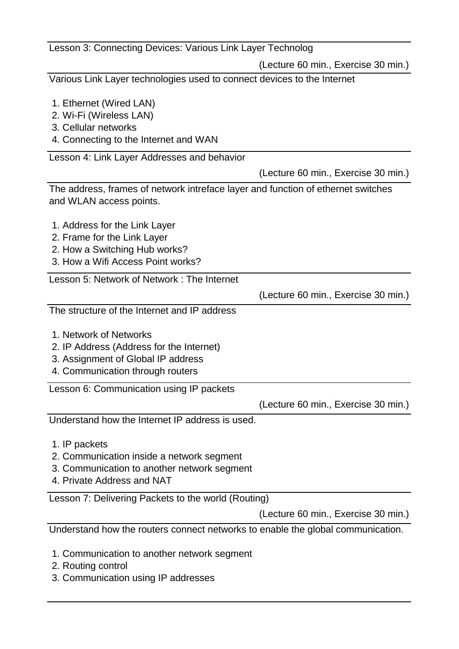| Lesson 3: Connecting Devices: Various Link Layer Technolog                                                                                                                               |                                     |
|------------------------------------------------------------------------------------------------------------------------------------------------------------------------------------------|-------------------------------------|
|                                                                                                                                                                                          | (Lecture 60 min., Exercise 30 min.) |
| Various Link Layer technologies used to connect devices to the Internet                                                                                                                  |                                     |
| 1. Ethernet (Wired LAN)<br>2. Wi-Fi (Wireless LAN)<br>3. Cellular networks<br>4. Connecting to the Internet and WAN                                                                      |                                     |
| Lesson 4: Link Layer Addresses and behavior                                                                                                                                              |                                     |
|                                                                                                                                                                                          | (Lecture 60 min., Exercise 30 min.) |
| The address, frames of network intreface layer and function of ethernet switches<br>and WLAN access points.                                                                              |                                     |
| 1. Address for the Link Layer<br>2. Frame for the Link Layer<br>2. How a Switching Hub works?<br>3. How a Wifi Access Point works?<br>Lesson 5: Network of Network: The Internet         |                                     |
|                                                                                                                                                                                          | (Lecture 60 min., Exercise 30 min.) |
| The structure of the Internet and IP address                                                                                                                                             |                                     |
| 1. Network of Networks<br>2. IP Address (Address for the Internet)<br>3. Assignment of Global IP address<br>4. Communication through routers<br>Lesson 6: Communication using IP packets |                                     |
|                                                                                                                                                                                          | (Lecture 60 min., Exercise 30 min.) |
| Understand how the Internet IP address is used.                                                                                                                                          |                                     |
| 1. IP packets<br>2. Communication inside a network segment<br>3. Communication to another network segment<br>4. Private Address and NAT                                                  |                                     |
| Lesson 7: Delivering Packets to the world (Routing)                                                                                                                                      |                                     |
|                                                                                                                                                                                          | (Lecture 60 min., Exercise 30 min.) |
| Understand how the routers connect networks to enable the global communication.                                                                                                          |                                     |
| 1. Communication to another network segment<br>2. Routing control                                                                                                                        |                                     |

3. Communication using IP addresses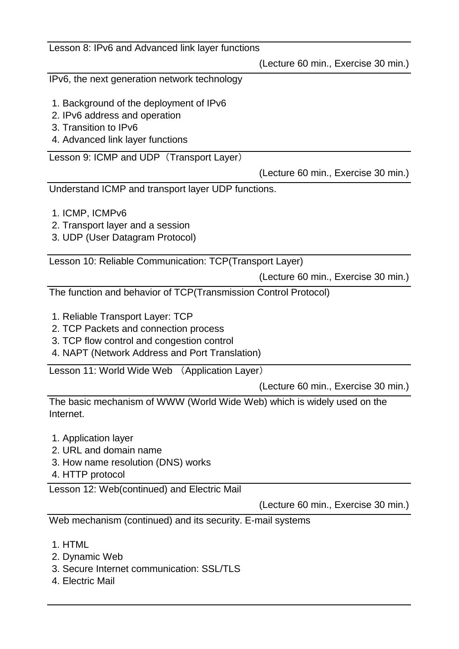| Lesson 8: IPv6 and Advanced link layer functions                                                                                                                          |                                     |
|---------------------------------------------------------------------------------------------------------------------------------------------------------------------------|-------------------------------------|
|                                                                                                                                                                           | (Lecture 60 min., Exercise 30 min.) |
| IPv6, the next generation network technology                                                                                                                              |                                     |
| 1. Background of the deployment of IPv6<br>2. IPv6 address and operation<br>3. Transition to IPv6<br>4. Advanced link layer functions                                     |                                     |
| Lesson 9: ICMP and UDP (Transport Layer)                                                                                                                                  |                                     |
|                                                                                                                                                                           | (Lecture 60 min., Exercise 30 min.) |
| Understand ICMP and transport layer UDP functions.                                                                                                                        |                                     |
| 1. ICMP, ICMPv6<br>2. Transport layer and a session<br>3. UDP (User Datagram Protocol)                                                                                    |                                     |
| Lesson 10: Reliable Communication: TCP(Transport Layer)                                                                                                                   |                                     |
|                                                                                                                                                                           | (Lecture 60 min., Exercise 30 min.) |
| The function and behavior of TCP(Transmission Control Protocol)                                                                                                           |                                     |
| 1. Reliable Transport Layer: TCP<br>2. TCP Packets and connection process<br>3. TCP flow control and congestion control<br>4. NAPT (Network Address and Port Translation) |                                     |
| Lesson 11: World Wide Web<br>(Application Layer)                                                                                                                          |                                     |
|                                                                                                                                                                           | (Lecture 60 min., Exercise 30 min.) |
| The basic mechanism of WWW (World Wide Web) which is widely used on the<br>Internet.                                                                                      |                                     |
| 1. Application layer<br>2. URL and domain name<br>3. How name resolution (DNS) works<br>4. HTTP protocol                                                                  |                                     |
| Lesson 12: Web(continued) and Electric Mail                                                                                                                               |                                     |
|                                                                                                                                                                           | (Lecture 60 min., Exercise 30 min.) |
| Web mechanism (continued) and its security. E-mail systems                                                                                                                |                                     |
| 1. HTML<br>2. Dynamic Web<br>3. Secure Internet communication: SSL/TLS                                                                                                    |                                     |

4. Electric Mail